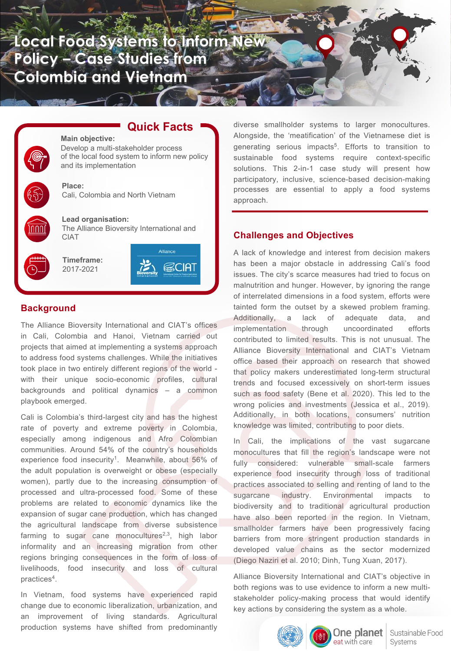**Local Food Systems to Inform Ne Policy – Case Studies from Colombia and Vietnam**

**Quick Facts**

Alliance

SCIAT

# **Main objective:** Develop a multi-stakeholder process of the local food system to inform new policy and its implementation **Place:** Cali, Colombia and North Vietnam **Lead organisation:** The Alliance Bioversity International and CIAT **Timeframe:** 2017-2021

# **Background**

The Alliance Bioversity International and CIAT's offices in Cali, Colombia and Hanoi, Vietnam carried out projects that aimed at implementing a systems approach to address food systems challenges. While the initiatives took place in two entirely different regions of the world with their unique socio-economic profiles, cultural backgrounds and political dynamics – a common playbook emerged.

Cali is Colombia's third-largest city and has the highest rate of poverty and extreme poverty in Colombia, especially among indigenous and Afro Colombian communities. Around 54% of the country's households experience food insecurity<sup>1</sup>. Meanwhile, about 56% of the adult population is overweight or obese (especially women), partly due to the increasing consumption of processed and ultra-processed food. Some of these problems are related to economic dynamics like the expansion of sugar cane production, which has changed the agricultural landscape from diverse subsistence farming to sugar cane monocultures<sup>2,3</sup>, high labor informality and an increasing migration from other regions bringing consequences in the form of loss of livelihoods, food insecurity and loss of cultural practices4.

In Vietnam, food systems have experienced rapid change due to economic liberalization, urbanization, and an improvement of living standards. Agricultural production systems have shifted from predominantly

diverse smallholder systems to larger monocultures. Alongside, the 'meatification' of the Vietnamese diet is generating serious impacts<sup>5</sup>. Efforts to transition to sustainable food systems require context-specific solutions. This 2-in-1 case study will present how participatory, inclusive, science-based decision-making processes are essential to apply a food systems approach.

# **Challenges and Objectives**

A lack of knowledge and interest from decision makers has been a major obstacle in addressing Cali's food issues. The city's scarce measures had tried to focus on malnutrition and hunger. However, by ignoring the range of interrelated dimensions in a food system, efforts were tainted form the outset by a skewed problem framing. Additionally, a lack of adequate data, and implementation through uncoordinated efforts contributed to limited results. This is not unusual. The Alliance Bioversity International and CIAT's Vietnam office based their approach on research that showed that policy makers underestimated long-term structural trends and focused excessively on short-term issues such as food safety (Bene et al. 2020). This led to the wrong policies and investments (Jessica et al., 2019). Additionally, in both locations, consumers' nutrition knowledge was limited, contributing to poor diets.

In Cali, the implications of the vast sugarcane monocultures that fill the region's landscape were not fully considered: vulnerable small-scale farmers experience food insecurity through loss of traditional practices associated to selling and renting of land to the sugarcane industry. Environmental impacts to biodiversity and to traditional agricultural production have also been reported in the region. In Vietnam, smallholder farmers have been progressively facing barriers from more stringent production standards in developed value chains as the sector modernized (Diego Naziri et al. 2010; Dinh, Tung Xuan, 2017).

Alliance Bioversity International and CIAT's objective in both regions was to use evidence to inform a new multistakeholder policy-making process that would identify key actions by considering the system as a whole.

eat with care



One planet Sustainable Food Systems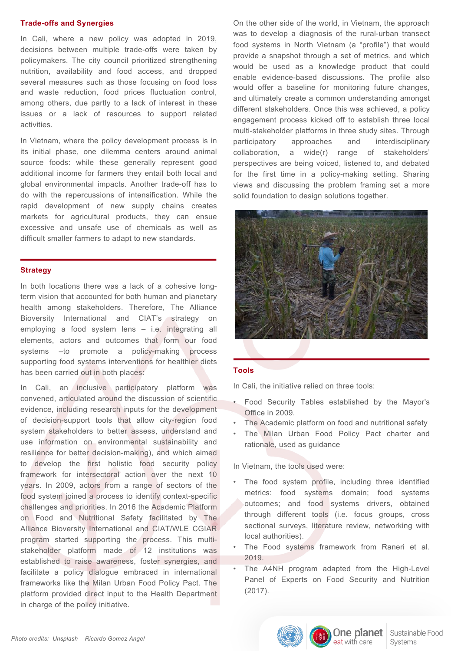## **Trade-offs and Synergies**

In Cali, where a new policy was adopted in 2019, decisions between multiple trade-offs were taken by policymakers. The city council prioritized strengthening nutrition, availability and food access, and dropped several measures such as those focusing on food loss and waste reduction, food prices fluctuation control, among others, due partly to a lack of interest in these issues or a lack of resources to support related activities.

In Vietnam, where the policy development process is in its initial phase, one dilemma centers around animal source foods: while these generally represent good additional income for farmers they entail both local and global environmental impacts. Another trade-off has to do with the repercussions of intensification. While the rapid development of new supply chains creates markets for agricultural products, they can ensue excessive and unsafe use of chemicals as well as difficult smaller farmers to adapt to new standards.

## **Strategy**

In both locations there was a lack of a cohesive longterm vision that accounted for both human and planetary health among stakeholders. Therefore, The Alliance Bioversity International and CIAT's strategy on employing a food system lens – i.e. integrating all elements, actors and outcomes that form our food systems –to promote a policy-making process supporting food systems interventions for healthier diets has been carried out in both places:

In Cali, an inclusive participatory platform was convened, articulated around the discussion of scientific evidence, including research inputs for the development of decision-support tools that allow city-region food system stakeholders to better assess, understand and use information on environmental sustainability and resilience for better decision-making), and which aimed to develop the first holistic food security policy framework for intersectoral action over the next 10 years. In 2009, actors from a range of sectors of the food system joined a process to identify context-specific challenges and priorities. In 2016 the Academic Platform on Food and Nutritional Safety facilitated by The Alliance Bioversity International and CIAT/WLE CGIAR program started supporting the process. This multistakeholder platform made of 12 institutions was established to raise awareness, foster synergies, and facilitate a policy dialogue embraced in international frameworks like the Milan Urban Food Policy Pact. The platform provided direct input to the Health Department in charge of the policy initiative.

On the other side of the world, in Vietnam, the approach was to develop a diagnosis of the rural-urban transect food systems in North Vietnam (a "profile") that would provide a snapshot through a set of metrics, and which would be used as a knowledge product that could enable evidence-based discussions. The profile also would offer a baseline for monitoring future changes, and ultimately create a common understanding amongst different stakeholders. Once this was achieved, a policy engagement process kicked off to establish three local multi-stakeholder platforms in three study sites. Through participatory approaches and interdisciplinary collaboration, a wide(r) range of stakeholders' perspectives are being voiced, listened to, and debated for the first time in a policy-making setting. Sharing views and discussing the problem framing set a more solid foundation to design solutions together.



# **Tools**

In Cali, the initiative relied on three tools:

- Food Security Tables established by the Mayor's Office in 2009.
- The Academic platform on food and nutritional safety
- The Milan Urban Food Policy Pact charter and rationale, used as guidance

In Vietnam, the tools used were:

- The food system profile, including three identified metrics: food systems domain; food systems outcomes; and food systems drivers, obtained through different tools (i.e. focus groups, cross sectional surveys, literature review, networking with local authorities).
- The Food systems framework from Raneri et al. 2019.
- The A4NH program adapted from the High-Level Panel of Experts on Food Security and Nutrition (2017).